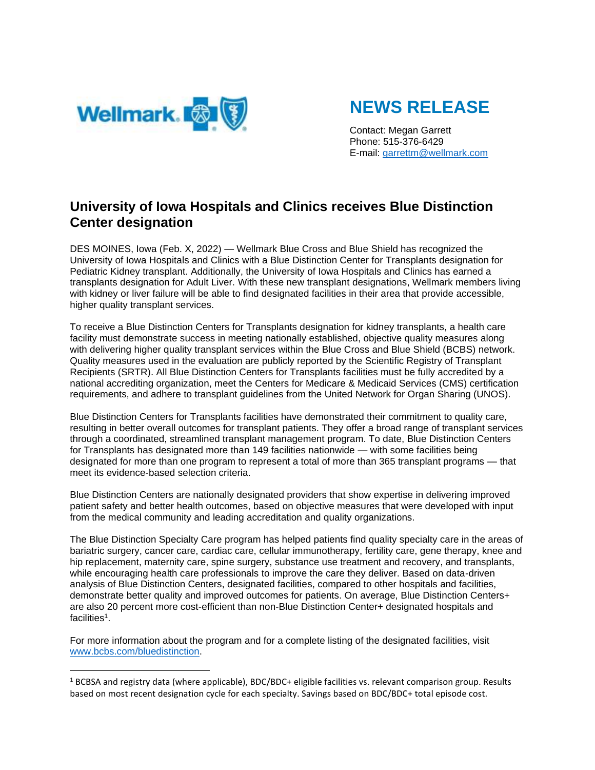

# **NEWS RELEASE**

Contact: Megan Garrett Phone: 515-376-6429 E-mail: [garrettm@wellmark.com](mailto:garrettm@wellmark.com)

## **University of Iowa Hospitals and Clinics receives Blue Distinction Center designation**

DES MOINES, Iowa (Feb. X, 2022) — Wellmark Blue Cross and Blue Shield has recognized the University of Iowa Hospitals and Clinics with a Blue Distinction Center for Transplants designation for Pediatric Kidney transplant. Additionally, the University of Iowa Hospitals and Clinics has earned a transplants designation for Adult Liver. With these new transplant designations, Wellmark members living with kidney or liver failure will be able to find designated facilities in their area that provide accessible, higher quality transplant services.

To receive a Blue Distinction Centers for Transplants designation for kidney transplants, a health care facility must demonstrate success in meeting nationally established, objective quality measures along with delivering higher quality transplant services within the Blue Cross and Blue Shield (BCBS) network. Quality measures used in the evaluation are publicly reported by the Scientific Registry of Transplant Recipients (SRTR). All Blue Distinction Centers for Transplants facilities must be fully accredited by a national accrediting organization, meet the Centers for Medicare & Medicaid Services (CMS) certification requirements, and adhere to transplant guidelines from the United Network for Organ Sharing (UNOS).

Blue Distinction Centers for Transplants facilities have demonstrated their commitment to quality care, resulting in better overall outcomes for transplant patients. They offer a broad range of transplant services through a coordinated, streamlined transplant management program. To date, Blue Distinction Centers for Transplants has designated more than 149 facilities nationwide — with some facilities being designated for more than one program to represent a total of more than 365 transplant programs — that meet its evidence-based selection criteria.

Blue Distinction Centers are nationally designated providers that show expertise in delivering improved patient safety and better health outcomes, based on objective measures that were developed with input from the medical community and leading accreditation and quality organizations.

The Blue Distinction Specialty Care program has helped patients find quality specialty care in the areas of bariatric surgery, cancer care, cardiac care, cellular immunotherapy, fertility care, gene therapy, knee and hip replacement, maternity care, spine surgery, substance use treatment and recovery, and transplants, while encouraging health care professionals to improve the care they deliver. Based on data-driven analysis of Blue Distinction Centers, designated facilities, compared to other hospitals and facilities, demonstrate better quality and improved outcomes for patients. On average, Blue Distinction Centers+ are also 20 percent more cost-efficient than non-Blue Distinction Center+ designated hospitals and facilities 1 .

For more information about the program and for a complete listing of the designated facilities, visit [www.bcbs.com/bluedistinction.](https://bcbs.com/about-us/capabilities-initiatives/blue-distinction/blue-distinction-specialty-care)

<sup>&</sup>lt;sup>1</sup> BCBSA and registry data (where applicable), BDC/BDC+ eligible facilities vs. relevant comparison group. Results based on most recent designation cycle for each specialty. Savings based on BDC/BDC+ total episode cost.